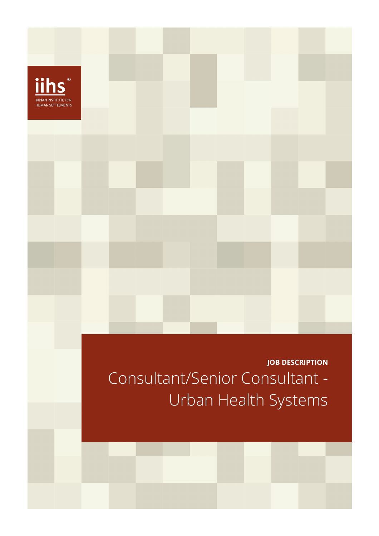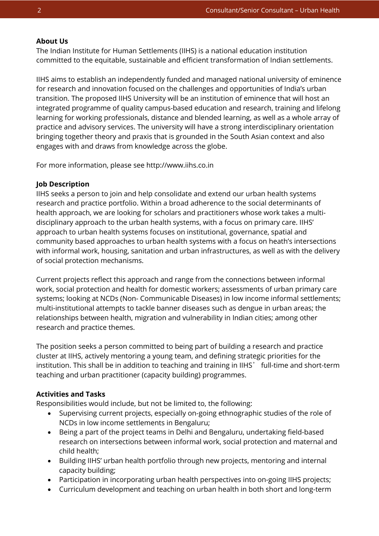# **About Us**

The Indian Institute for Human Settlements (IIHS) is a national education institution committed to the equitable, sustainable and efficient transformation of Indian settlements.

IIHS aims to establish an independently funded and managed national university of eminence for research and innovation focused on the challenges and opportunities of India's urban transition. The proposed IIHS University will be an institution of eminence that will host an integrated programme of quality campus-based education and research, training and lifelong learning for working professionals, distance and blended learning, as well as a whole array of practice and advisory services. The university will have a strong interdisciplinary orientation bringing together theory and praxis that is grounded in the South Asian context and also engages with and draws from knowledge across the globe.

For more information, please see http://www.iihs.co.in

## **Job Description**

IIHS seeks a person to join and help consolidate and extend our urban health systems research and practice portfolio. Within a broad adherence to the social determinants of health approach, we are looking for scholars and practitioners whose work takes a multidisciplinary approach to the urban health systems, with a focus on primary care. IIHS' approach to urban health systems focuses on institutional, governance, spatial and community based approaches to urban health systems with a focus on heath's intersections with informal work, housing, sanitation and urban infrastructures, as well as with the delivery of social protection mechanisms.

Current projects reflect this approach and range from the connections between informal work, social protection and health for domestic workers; assessments of urban primary care systems; looking at NCDs (Non- Communicable Diseases) in low income informal settlements; multi-institutional attempts to tackle banner diseases such as dengue in urban areas; the relationships between health, migration and vulnerability in Indian cities; among other research and practice themes.

The position seeks a person committed to being part of building a research and practice cluster at IIHS, actively mentoring a young team, and defining strategic priorities for the institution. This shall be in addition to teaching and training in IIHS' full-time and short-term teaching and urban practitioner (capacity building) programmes.

# **Activities and Tasks**

Responsibilities would include, but not be limited to, the following:

- Supervising current projects, especially on-going ethnographic studies of the role of NCDs in low income settlements in Bengaluru;
- Being a part of the project teams in Delhi and Bengaluru, undertaking field-based research on intersections between informal work, social protection and maternal and child health;
- Building IIHS' urban health portfolio through new projects, mentoring and internal capacity building;
- Participation in incorporating urban health perspectives into on-going IIHS projects;
- Curriculum development and teaching on urban health in both short and long-term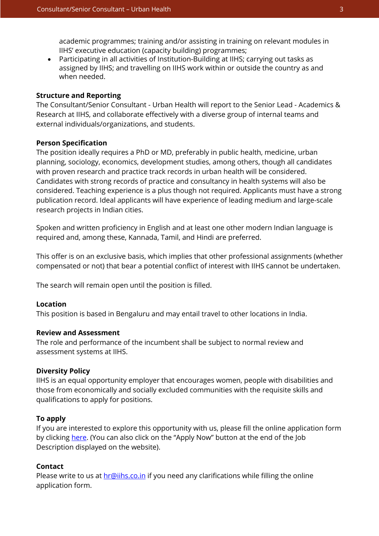academic programmes; training and/or assisting in training on relevant modules in IIHS' executive education (capacity building) programmes;

• Participating in all activities of Institution-Building at IIHS; carrying out tasks as assigned by IIHS; and travelling on IIHS work within or outside the country as and when needed.

## **Structure and Reporting**

The Consultant/Senior Consultant - Urban Health will report to the Senior Lead - Academics & Research at IIHS, and collaborate effectively with a diverse group of internal teams and external individuals/organizations, and students.

## **Person Specification**

The position ideally requires a PhD or MD, preferably in public health, medicine, urban planning, sociology, economics, development studies, among others, though all candidates with proven research and practice track records in urban health will be considered. Candidates with strong records of practice and consultancy in health systems will also be considered. Teaching experience is a plus though not required. Applicants must have a strong publication record. Ideal applicants will have experience of leading medium and large-scale research projects in Indian cities.

Spoken and written proficiency in English and at least one other modern Indian language is required and, among these, Kannada, Tamil, and Hindi are preferred.

This offer is on an exclusive basis, which implies that other professional assignments (whether compensated or not) that bear a potential conflict of interest with IIHS cannot be undertaken.

The search will remain open until the position is filled.

## **Location**

This position is based in Bengaluru and may entail travel to other locations in India.

# **Review and Assessment**

The role and performance of the incumbent shall be subject to normal review and assessment systems at IIHS.

## **Diversity Policy**

IIHS is an equal opportunity employer that encourages women, people with disabilities and those from economically and socially excluded communities with the requisite skills and qualifications to apply for positions.

## **To apply**

If you are interested to explore this opportunity with us, please fill the online application form by clicking [here.](https://iihs.co.in/job-application/) (You can also click on the "Apply Now" button at the end of the Job Description displayed on the website).

#### **Contact**

Please write to us at **hr@iihs.co.in** if you need any clarifications while filling the online application form.